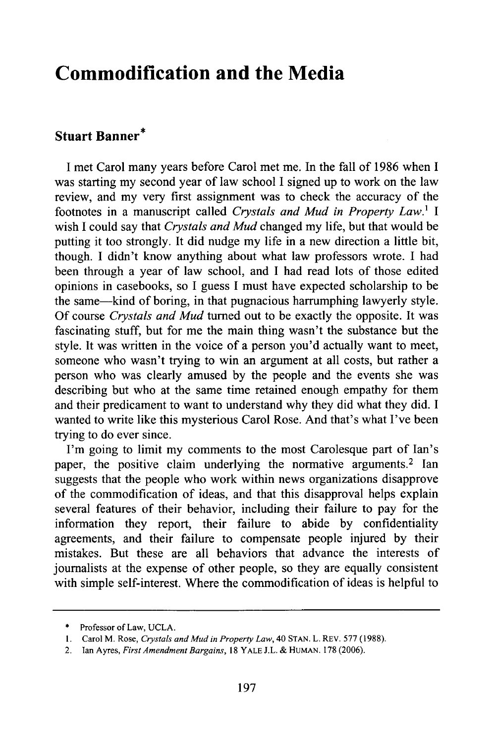## **Commodification and the Media**

## **Stuart Banner\***

**I** met Carol many years before Carol met me. In the fall of **1986** when **I** was starting my second year of law school I signed up to work on the law review, and my very first assignment was to check the accuracy of the footnotes in a manuscript called *Crystals and Mud in Property Law.1 I* wish I could say that *Crystals and Mud* changed my life, but that would be putting it too strongly. It did nudge my life in a new direction a little bit, though. I didn't know anything about what law professors wrote. I had been through a year of law school, and I had read lots of those edited opinions in casebooks, so I guess I must have expected scholarship to be the same-kind of boring, in that pugnacious harrumphing lawyerly style. Of course *Crystals and Mud* turned out to be exactly the opposite. It was fascinating stuff, but for me the main thing wasn't the substance but the style. It was written in the voice of a person you'd actually want to meet, someone who wasn't trying to win an argument at all costs, but rather a person who was clearly amused by the people and the events she was describing but who at the same time retained enough empathy for them and their predicament to want to understand why they did what they did. I wanted to write like this mysterious Carol Rose. And that's what I've been trying to do ever since.

I'm going to limit my comments to the most Carolesque part of Ian's paper, the positive claim underlying the normative arguments.<sup>2</sup> Ian suggests that the people who work within news organizations disapprove of the commodification of ideas, and that this disapproval helps explain several features of their behavior, including their failure to pay for the information they report, their failure to abide by confidentiality agreements, and their failure to compensate people injured by their mistakes. But these are all behaviors that advance the interests of journalists at the expense of other people, so they are equally consistent with simple self-interest. Where the commodification of ideas is helpful to

<sup>\*</sup> Professor of Law, UCLA.

<sup>1.</sup> Carol M. Rose, *Crystals and Mud in Property Law,* 40 STAN. L. REV. 577 (1988).

<sup>2.</sup> Ian Ayres, *First Amendment Bargains,* 18 YALE J.L. & HUMAN. 178 (2006).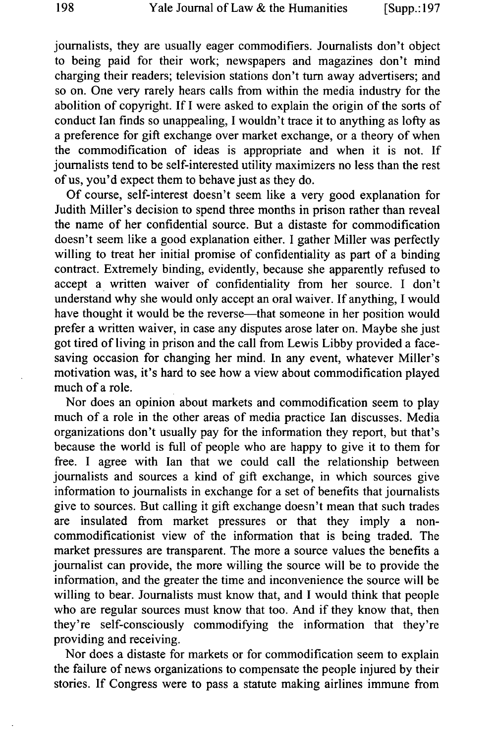journalists, they are usually eager commodifiers. Journalists don't object to being paid for their work; newspapers and magazines don't mind charging their readers; television stations don't turn away advertisers; and so on. One very rarely hears calls from within the media industry for the abolition of copyright. If I were asked to explain the origin of the sorts of conduct Ian finds so unappealing, I wouldn't trace it to anything as lofty as a preference for gift exchange over market exchange, or a theory of when the commodification of ideas is appropriate and when it is not. If journalists tend to be self-interested utility maximizers no less than the rest of us, you'd expect them to behave just as they do.

Of course, self-interest doesn't seem like a very good explanation for Judith Miller's decision to spend three months in prison rather than reveal the name of her confidential source. But a distaste for commodification doesn't seem like a good explanation either. I gather Miller was perfectly willing to treat her initial promise of confidentiality as part of a binding contract. Extremely binding, evidently, because she apparently refused to accept a written waiver of confidentiality from her source. I don't understand why she would only accept an oral waiver. If anything, I would have thought it would be the reverse—that someone in her position would prefer a written waiver, in case any disputes arose later on. Maybe she just got tired of living in prison and the call from Lewis Libby provided a facesaving occasion for changing her mind. In any event, whatever Miller's motivation was, it's hard to see how a view about commodification played much of a role.

Nor does an opinion about markets and commodification seem to play much of a role in the other areas of media practice Ian discusses. Media organizations don't usually pay for the information they report, but that's because the world is full of people who are happy to give it to them for free. I agree with Ian that we could call the relationship between journalists and sources a kind of gift exchange, in which sources give information to journalists in exchange for a set of benefits that journalists give to sources. But calling it gift exchange doesn't mean that such trades are insulated from market pressures or that they imply a noncommodificationist view of the information that is being traded. The market pressures are transparent. The more a source values the benefits a journalist can provide, the more willing the source will be to provide the information, and the greater the time and inconvenience the source will be willing to bear. Journalists must know that, and I would think that people who are regular sources must know that too. And if they know that, then they're self-consciously commodifying the information that they're providing and receiving.

Nor does a distaste for markets or for commodification seem to explain the failure of news organizations to compensate the people injured by their stories. If Congress were to pass a statute making airlines immune from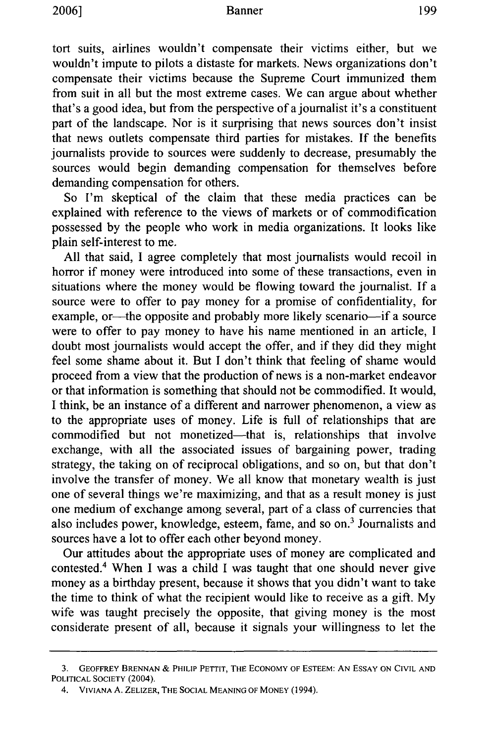tort suits, airlines wouldn't compensate their victims either, but we wouldn't impute to pilots a distaste for markets. News organizations don't compensate their victims because the Supreme Court immunized them from suit in all but the most extreme cases. We can argue about whether that's a good idea, but from the perspective of a journalist it's a constituent part of the landscape. Nor is it surprising that news sources don't insist that news outlets compensate third parties for mistakes. If the benefits journalists provide to sources were suddenly to decrease, presumably the sources would begin demanding compensation for themselves before demanding compensation for others.

So I'm skeptical of the claim that these media practices can be explained with reference to the views of markets or of commodification possessed by the people who work in media organizations. It looks like plain self-interest to me.

All that said, I agree completely that most journalists would recoil in horror if money were introduced into some of these transactions, even in situations where the money would be flowing toward the journalist. If a source were to offer to pay money for a promise of confidentiality, for example, or-the opposite and probably more likely scenario-if a source were to offer to pay money to have his name mentioned in an article, I doubt most journalists would accept the offer, and if they did they might feel some shame about it. But I don't think that feeling of shame would proceed from a view that the production of news is a non-market endeavor or that information is something that should not be commodified. It would, I think, be an instance of a different and narrower phenomenon, a view as to the appropriate uses of money. Life is full of relationships that are commodified but not monetized-that is, relationships that involve exchange, with all the associated issues of bargaining power, trading strategy, the taking on of reciprocal obligations, and so on, but that don't involve the transfer of money. We all know that monetary wealth is just one of several things we're maximizing, and that as a result money is just one medium of exchange among several, part of a class of currencies that also includes power, knowledge, esteem, fame, and so on.3 Journalists and sources have a lot to offer each other beyond money.

Our attitudes about the appropriate uses of money are complicated and contested.4 When I was a child I was taught that one should never give money as a birthday present, because it shows that you didn't want to take the time to think of what the recipient would like to receive as a gift. My wife was taught precisely the opposite, that giving money is the most considerate present of all, because it signals your willingness to let the

<sup>3.</sup> GEOFFREY **BRENNAN** & PHILIP PETTIT, THE ECONOMY OF **ESTEEM: AN ESSAY ON** CIVIL **AND** POLITICAL **SOCIETY** (2004).

<sup>4.</sup> **VIVIANA** A. ZELIZER, THE **SOCIAL MEANING** OF MONEY (1994).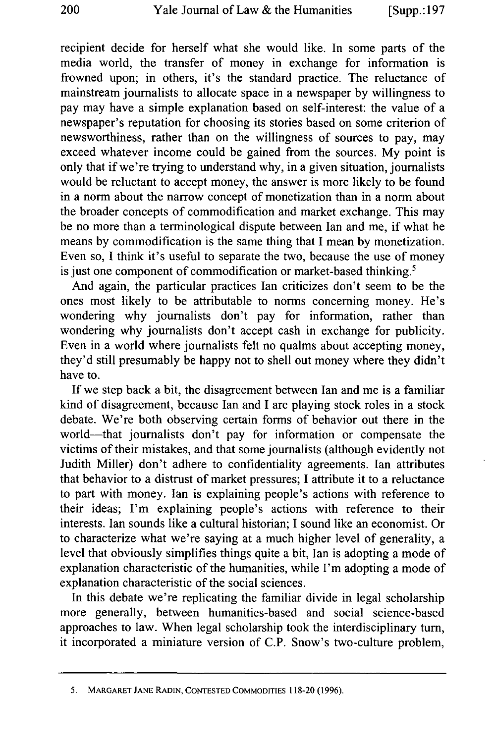recipient decide for herself what she would like. In some parts of the media world, the transfer of money in exchange for information is frowned upon; in others, it's the standard practice. The reluctance of mainstream journalists to allocate space in a newspaper by willingness to pay may have a simple explanation based on self-interest: the value of a newspaper's reputation for choosing its stories based on some criterion of newsworthiness, rather than on the willingness of sources to pay, may exceed whatever income could be gained from the sources. My point is only that if we're trying to understand why, in a given situation, journalists would be reluctant to accept money, the answer is more likely to be found in a norm about the narrow concept of monetization than in a norm about the broader concepts of commodification and market exchange. This may be no more than a terminological dispute between Ian and me, if what he means by commodification is the same thing that I mean by monetization. Even so, I think it's useful to separate the two, because the use of money is just one component of commodification or market-based thinking.<sup>5</sup>

And again, the particular practices Ian criticizes don't seem to be the ones most likely to be attributable to norms concerning money. He's wondering why journalists don't pay for information, rather than wondering why journalists don't accept cash in exchange for publicity. Even in a world where journalists felt no qualms about accepting money, they'd still presumably be happy not to shell out money where they didn't have to.

If we step back a bit, the disagreement between Ian and me is a familiar kind of disagreement, because Ian and I are playing stock roles in a stock debate. We're both observing certain forms of behavior out there in the world-that journalists don't pay for information or compensate the victims of their mistakes, and that some journalists (although evidently not Judith Miller) don't adhere to confidentiality agreements. Ian attributes that behavior to a distrust of market pressures; I attribute it to a reluctance to part with money. Ian is explaining people's actions with reference to their ideas; I'm explaining people's actions with reference to their interests. Ian sounds like a cultural historian; I sound like an economist. Or to characterize what we're saying at a much higher level of generality, a level that obviously simplifies things quite a bit, Ian is adopting a mode of explanation characteristic of the humanities, while I'm adopting a mode of explanation characteristic of the social sciences.

In this debate we're replicating the familiar divide in legal scholarship more generally, between humanities-based and social science-based approaches to law. When legal scholarship took the interdisciplinary turn, it incorporated a miniature version of C.P. Snow's two-culture problem,

<sup>5.</sup> MARGARET **JANE** RADIN, **CONTESTED COMMODITIES** 118-20 (1996).